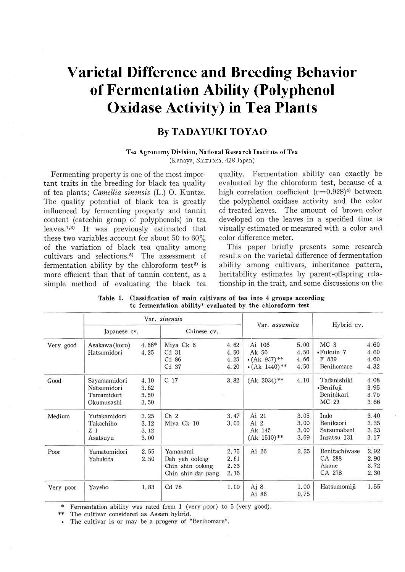# **Varietal Difference and Breeding Behavior of Fermentation Ability (Polyphenol Oxidase Activity) in Tea Plants**

#### **By TADAYUKI TOYAO**

#### **Tea Agronomy Division, National Research Institute of Tea**

(Kanaya, Shizuoka, 428 Japan)

Fermenting property is one of the most important traits in the breeding for black tea quality of tea plants; *Camellia sinensis* (L.) O. Kuntze. The quality potential of black tea is greatly influenced by fermenting property and tannin content (catechin group of polyphenols) in tea leaves.1• <sup>3</sup>> It was previously estimated that these two variables account for about 50 to 60% of the variation of black tea quality among cultivars and selections.<sup>5)</sup> The assessment of fermentation ability by the chloroform test $2$  is more efficient than that of tannin content, as a simple method of evaluating the black tea quality. fermentation ability can exactly be evaluated by the chloroform test, because of a high correlation coefficient  $(r=0.928)^4$ <sup>)</sup> between the polyphenol oxidase activity and the color of treated leaves. The amount of brown color developed on the leaves in a specified time is visually estimated or measured with a color and color difference meter.

This paper briefly presents some research results on the varietal difference of fermentation ability among cultivars, inheritance pattern, heritability estimates by parent-offspring relationship in the trait, and some discussions on the

|           |                                                         |                              | Var. sinensis                                                        |                              |                                                              |                              |                                                     |                              |
|-----------|---------------------------------------------------------|------------------------------|----------------------------------------------------------------------|------------------------------|--------------------------------------------------------------|------------------------------|-----------------------------------------------------|------------------------------|
|           | Japanese cv.                                            |                              | Chinese cv.                                                          |                              | Var. assamica                                                |                              | Hybrid cv.                                          |                              |
| Very good | Asakawa (koro)<br>Hatsumidori                           | 4.66*<br>4.25                | Miya Ck 6<br>Cd <sub>31</sub><br>Cd 86<br>Cd 37                      | 4.62<br>4.50<br>4.25<br>4.20 | Ai 106<br>Ak 56<br>$\cdot$ (Ak 937)**<br>$\cdot$ (Ak 1440)** | 5.00<br>4.50<br>4.66<br>4.50 | MC <sub>3</sub><br>•Fukuin 7<br>F 839<br>Benihomare | 4.60<br>4.60<br>4.60<br>4.32 |
| Good      | Sayamamidori<br>Natsumidori<br>Tamamidori<br>Okumusashi | 4.10<br>3.62<br>3.50<br>3.50 | C <sub>17</sub>                                                      | 3.82                         | $(Ak 2034)$ **                                               | 4.10                         | Tadanishiki<br>•Benifuji<br>Benihikari<br>MC 29     | 4.08<br>3.95<br>3.75<br>3.66 |
| Medium    | Yutakamidori<br>Takachiho<br>Z <sub>1</sub><br>Asatsuyu | 3.25<br>3.12<br>3.12<br>3.00 | Ch <sub>2</sub><br>Miya Ck 10                                        | 3.47<br>3.00                 | Ai 21<br>Ai 2<br>Ak 145<br>$(Ak 1510)**$                     | 3.05<br>3.00<br>3.00<br>3.69 | Indo<br>Benikaori<br>Satsumabeni<br>Inzatsu 131     | 3.40<br>3.35<br>3.23<br>3.17 |
| Poor      | Yamatomidori<br>Yabukita                                | 2.55<br>2.50                 | Yamanami<br>Dah yeh oolong<br>Chin shin oolong<br>Chin shin dan pang | 2.75<br>2.61<br>2.33<br>2.16 | Ai 26                                                        | 2.25                         | Benitachiwase<br>CA 288<br>Akane<br>CA 278          | 2.92<br>2.90<br>2.72<br>2.30 |
| Very poor | Yayeho                                                  | 1.83                         | Cd 78                                                                | 1.00                         | Aj 8<br>Ai 86                                                | 1.00<br>0.75                 | Hatsumomiji                                         | 1.55                         |

**Table** 1. **Classification of** main **cultivars of tea** into **4 groups according to fermentation ability~ evaluated by the chloroform test** 

Fermentation ability was rated from 1 (very poor) to 5 (very good).

The cultivar considered as Assam hybrid.

The cultivar is or may be a progeny of "Benihomare".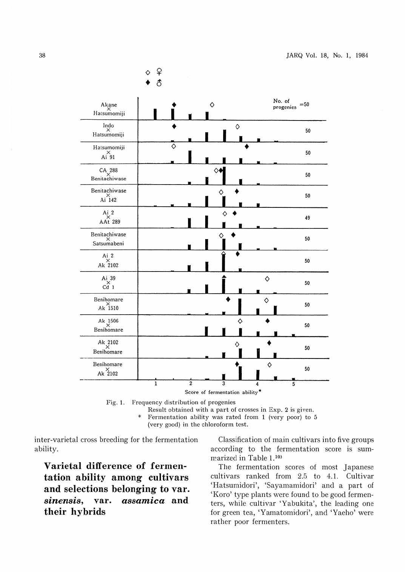

Fig. 1. Frequency distribution of progenies Result obtained with a part of crosses in Exp. 2 is given. Fermentation ability was rated from 1 (very poor) to 5 (very good) in the chloroform test.

inter-varietal cross breeding for the fermentation ability.

**Varietal difference of fermentation ability among cultivars and selections belonging to var.**  *sinensis,* **var.** *assamica* **and their hybrids** 

Classification of main cultivars into five groups according to the fermentation score is summarized in Table 1.<sup>101</sup>

The fermentation scores of most Japanese cultivars ranked from 2.5 to 4.1. Cultivar 'Hatsumidori', 'Sayamamidori' and a part of 'Koro' type plants were found to be good fermenters, while cultivar 'Yabukita', the leading one for green tea, 'Yamatomidori', and 'Yaeho' were rather poor ferrnenters.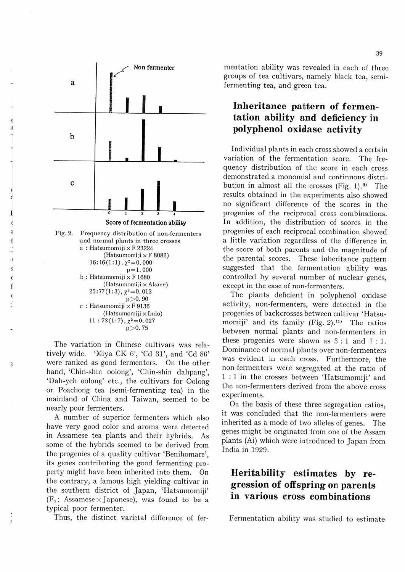

11

3

ž f

3

 $\mathbf{1}$ 

(Hatsumomiji x Indo)  $11: 73(1:7)$ ,  $\chi^2 = 0.027$ p>0.75

The variation in Chinese cultivars was relatively wide. 'Miya CK 6', 'Cd 31', and 'Cd 86' were ranked as good fermenters. On the other hand, 'Chin-shin oolong', 'Chin-shin dahpang', 'Dah-yeh oolong' etc., the cultivars for Oolong or Poachong tea (semi-fermenting tea) in the mainland of China and Taiwan, seemed to be nearly poor fermenters.

A number of superior fermenters which also have very good color and aroma were detected in Assamese tea plants and their hybrids. As some of the hybrids seemed to be derived from the progenies of a quality cultivar 'Benihomare', its genes contributing the good fermenting property might have been inherited into them. On the contrary, a famous high yielding cultivar in the southern district of Japan, 'Hatsumomiji'  $(F_1;$  Assamese  $\times$  Japanese), was found to be a typical poor fermenter.

Thus, the distinct varietal difference of fer-

mentation ability was revealed in each of three groups of tea cultivars, namely black tea, semifermenting tea, and green tea.

#### **Inheritance pattern of fermentation ability and deficiency in polyphenol oxidase activity**

Individual plants in each cross showed a certain variation of the fermentation score. The frequency distribution of the score in each cross demonstrated a monomial and continuous distribution in almost all the crosses  $(Fig. 1).^{9}$  The results obtained in the experiments also showed no significant difference of the scores in the progenies of the reciprocal cross combinations. In addition, the distribution of scores in the progenies of each reciprocal combination showed a little variation regardless of the difference in the score of both parents and the magnitude of the parental scores. These inheritance pattern suggested that the fermentation ability was controlled by several number of nuclear genes, except in the case of non-fermenters.

The plants deficient in polyphenol oxidase activity, non-fermenters, were detected in the progenies of backcrosses between cultivar 'Hatsumomiji' and its family (Fig. 2).11) The ratios between normal plants and non-fennenters in these progenies were shown as  $3 : 1$  and  $7 : 1$ . Dominance of normal plants over non-fermenters was evident in each cross. Furthermore, the non-Iermenters were segregated at the ratio of 1 : 1 in the crosses between 'Hatsumomiji' and the non-fermenters derived from the above cross experiments.

On the basis of these three segregation ratios, it was concluded that the non-fermenters were inherited as a mode of two alleles of genes. The genes might be originated from one of the Assam plants (Ai) which were introduced to Japan from India in 1929.

## **Heritability estimates by regression of off spring on parents in various cross combinations**

Fermentation ability was studied to estimate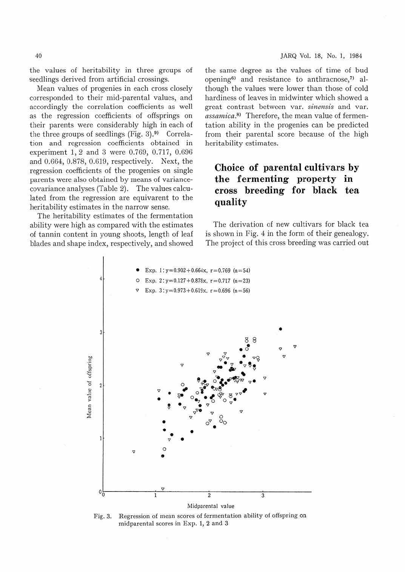the values of heritability in three groups of seedlings derived from artificial crossings.

Mean values of progenies in each cross closely corresponded to their mid-parental values, and accordingly the correlation coefficients as well as the regression coefficients of offsprings on their parents were considerably high in each of the three groups of seedlings (Fig.  $3)$ .<sup>9)</sup> Correlation and regression coefficients obtained in experiment 1, 2 and 3 were 0.769, 0.717, 0.696 and 0.664, 0.878, 0.619, respectively. Next, the regression coefficients of the progenies on single parents were also obtained by means of variancecovariance analyses (Table 2). The values calculated from the regression are equivarent to the heritability estimates in the narrow sense.

The heritability estimates of the fermentation ability were high as compared with the estimates of tannin content in young shoots, length of leaf blades and shape index, respectively, and showed the same degree as the values of time of bud opening<sup>6)</sup> and resistance to anthracnose,<sup>7)</sup> although the values were lower than those of cold hardiness of leaves in midwinter which showed a great contrast between var. *sinensis* and var. assamica.<sup>8</sup>) Therefore, the mean value of fermentation ability in the progenies can be predicted from their parental score because of the high heritability estimates.

### **Choice of parental cultivars by the fermenting property in cross breeding for black tea quality**

The derivation of new cultivars for black tea is shown in Fig. 4 in the form of their genealogy. The project of this cross breeding was carried out



Fig. 3. Regression of mean scores of fermentation ability of offspring on midparental scores in Exp. 1, 2 and 3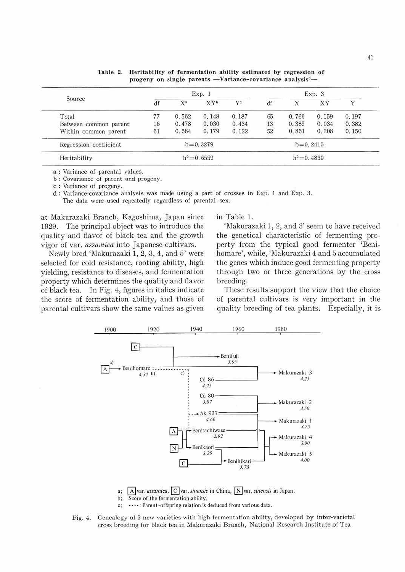|                        | Exp. 1                       |                |                 |       | Exp.3          |       |       |       |
|------------------------|------------------------------|----------------|-----------------|-------|----------------|-------|-------|-------|
| Source                 | df                           | X <sup>a</sup> | XY <sup>b</sup> | $Y^c$ | df             | X     | XY    |       |
| Total                  | 77                           | 0.562          | 0.148           | 0.187 | 65             | 0.766 | 0.159 | 0.197 |
| Between common parent  | 16                           | 0.478          | 0.030           | 0.434 | 13             | 0.389 | 0.034 | 0.382 |
| Within common parent   | 61                           | 0.584          | 0.179           | 0.122 | 52             | 0.861 | 0.208 | 0.150 |
| Regression coefficient | $b = 0.3279$<br>$b = 0.2415$ |                |                 |       |                |       |       |       |
| Heritability           | $h^2 = 0.6559$               |                |                 |       | $h^2 = 0.4830$ |       |       |       |

Table 2. Heritability of fermentation ability estimated by regression of progeny on single parents - Variance-covariance analysis<sup>d</sup>-

a : Variance of parental values.

b: Covariance of parent and progeny.

c : Variance of progeny.

cl : Variance-covariance analysis was made using a part of crosses in Exp. l and Exp. 3. The data were used repeatedly regardless of parental sex.

at Makurazaki Branch, Kagoshima, Japan since l929. The principal object was to introduce the quality and flavor of black tea and the growth vigor of var. *assamica* into Japanese cultivars.

Newly bred 'Makurazaki 1, 2, 3, 4, and 5' were selected for cold resistance, rooting ability, high yielding, resistance to diseases, and fermentation property which determines the quality and flavor of black tea. In Fig. 4, figures jn italics indicate the score of fermentation ability, and those of parental cultivars show the same values as given in Table 1.

'Makurazaki 1, 2, and 3' seem to have received the genetical characteristic of fermenting property from the typical good fermenter 'Benihomare', while, 'Makurazaki 4 and 5 accumulated the genes which induce good fermenting property through two or three generations by the cross breeding.

These results support the view that the choice of parental cultivars is very important in the quality breeding of tea plants. Especially, it is.



a;  $\boxed{A}$  *var. assamica,*  $\boxed{C}$  *var. sinensis* in China,  $\boxed{N}$  *var. sinensis* in Japan.<br>b: Score of the fermentation ability.

- Score of the fermentation ability.
- c; ----: Parent-offspring relation is deduced from various data.

Fig. 4. Genealogy of 5 new varieties with high fermentation ability, developed by inter-varietal cross breeding for black tea in Makurazaki Branch, National Research Institute of Tea